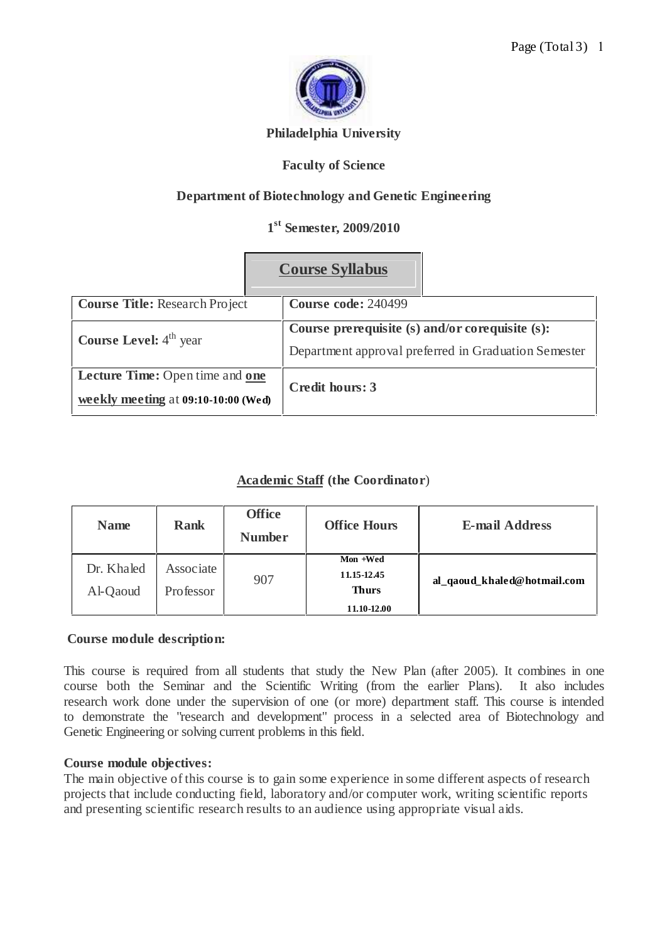

# **Philadelphia University**

# **Faculty of Science**

# **Department of Biotechnology and Genetic Engineering**

# **1 st Semester, 2009/2010**

|                                                                                      | <b>Course Syllabus</b>                                                                                  |  |  |
|--------------------------------------------------------------------------------------|---------------------------------------------------------------------------------------------------------|--|--|
| <b>Course Title: Research Project</b>                                                | <b>Course code: 240499</b>                                                                              |  |  |
| <b>Course Level:</b> $4th$ year                                                      | Course prerequisite (s) and/or corequisite (s):<br>Department approval preferred in Graduation Semester |  |  |
| <b>Lecture Time:</b> Open time and <b>one</b><br>weekly meeting at 09:10-10:00 (Wed) | Credit hours: 3                                                                                         |  |  |

# **Academic Staff (the Coordinator**)

| <b>Name</b>            | <b>Rank</b>            | <b>Office</b><br><b>Number</b> | <b>Office Hours</b>                                    | <b>E-mail Address</b>       |
|------------------------|------------------------|--------------------------------|--------------------------------------------------------|-----------------------------|
| Dr. Khaled<br>Al-Qaoud | Associate<br>Professor | 907                            | Mon +Wed<br>11.15-12.45<br><b>Thurs</b><br>11.10-12.00 | al_qaoud_khaled@hotmail.com |

## **Course module description:**

This course is required from all students that study the New Plan (after 2005). It combines in one course both the Seminar and the Scientific Writing (from the earlier Plans). It also includes research work done under the supervision of one (or more) department staff. This course is intended to demonstrate the "research and development" process in a selected area of Biotechnology and Genetic Engineering or solving current problems in this field.

## **Course module objectives:**

The main objective of this course is to gain some experience in some different aspects of research projects that include conducting field, laboratory and/or computer work, writing scientific reports and presenting scientific research results to an audience using appropriate visual aids.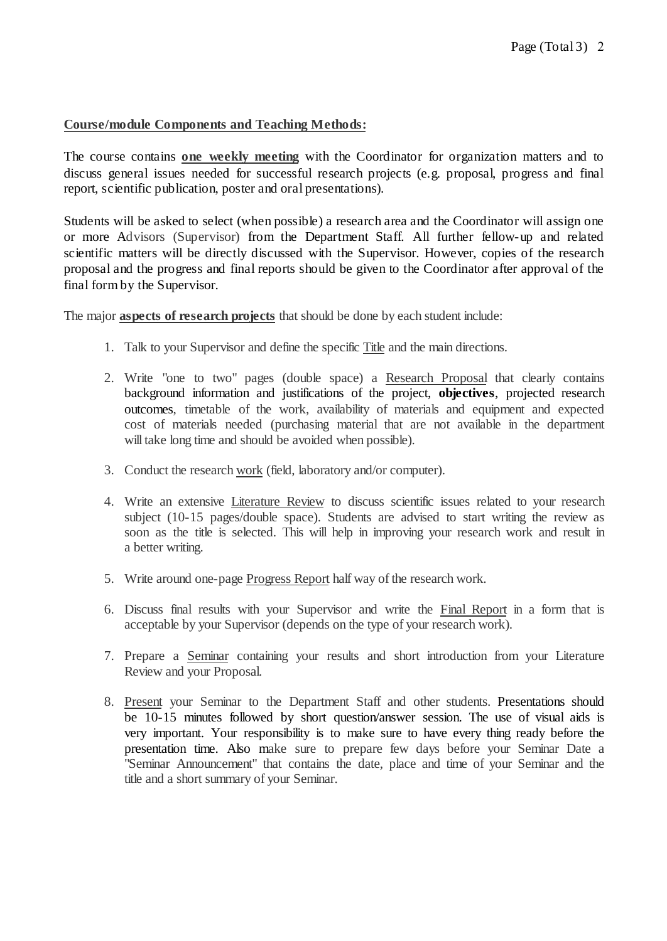# **Course/module Components and Teaching Methods:**

The course contains **one weekly meeting** with the Coordinator for organization matters and to discuss general issues needed for successful research projects (e.g. proposal, progress and final report, scientific publication, poster and oral presentations).

Students will be asked to select (when possible) a research area and the Coordinator will assign one or more Advisors (Supervisor) from the Department Staff. All further fellow-up and related scientific matters will be directly discussed with the Supervisor. However, copies of the research proposal and the progress and final reports should be given to the Coordinator after approval of the final form by the Supervisor.

The major **aspects of research projects** that should be done by each student include:

- 1. Talk to your Supervisor and define the specific Title and the main directions.
- 2. Write "one to two" pages (double space) a Research Proposal that clearly contains background information and justifications of the project, **objectives**, projected research outcomes, timetable of the work, availability of materials and equipment and expected cost of materials needed (purchasing material that are not available in the department will take long time and should be avoided when possible).
- 3. Conduct the research work (field, laboratory and/or computer).
- 4. Write an extensive Literature Review to discuss scientific issues related to your research subject (10-15 pages/double space). Students are advised to start writing the review as soon as the title is selected. This will help in improving your research work and result in a better writing.
- 5. Write around one-page Progress Report half way of the research work.
- 6. Discuss final results with your Supervisor and write the Final Report in a form that is acceptable by your Supervisor (depends on the type of your research work).
- 7. Prepare a Seminar containing your results and short introduction from your Literature Review and your Proposal.
- 8. Present your Seminar to the Department Staff and other students. Presentations should be 10-15 minutes followed by short question/answer session. The use of visual aids is very important. Your responsibility is to make sure to have every thing ready before the presentation time. Also make sure to prepare few days before your Seminar Date a "Seminar Announcement" that contains the date, place and time of your Seminar and the title and a short summary of your Seminar.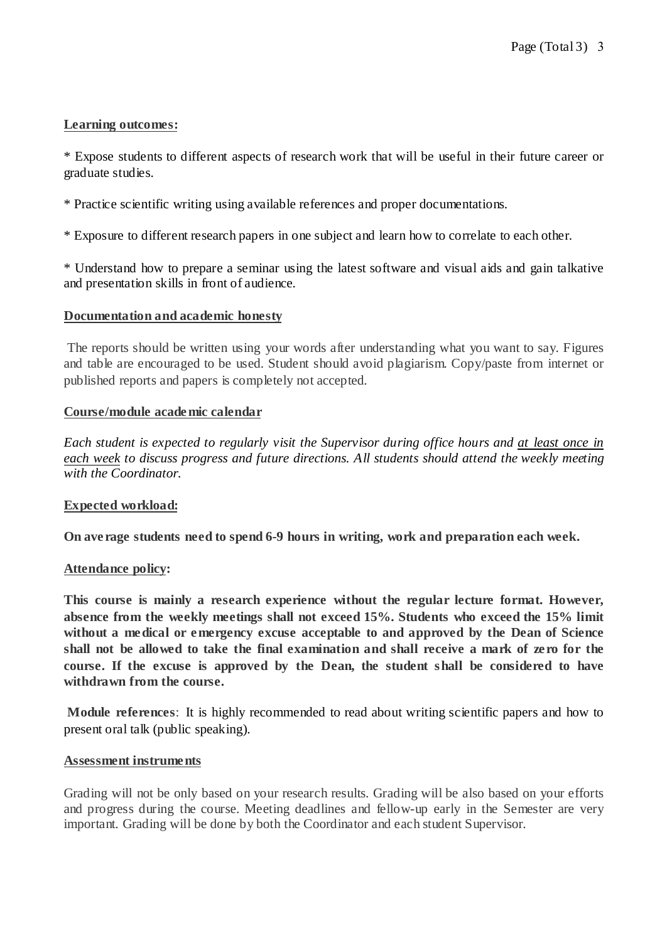# **Learning outcomes:**

\* Expose students to different aspects of research work that will be useful in their future career or graduate studies.

\* Practice scientific writing using available references and proper documentations.

\* Exposure to different research papers in one subject and learn how to correlate to each other.

\* Understand how to prepare a seminar using the latest software and visual aids and gain talkative and presentation skills in front of audience.

## **Documentation and academic honesty**

The reports should be written using your words after understanding what you want to say. Figures and table are encouraged to be used. Student should avoid plagiarism. Copy/paste from internet or published reports and papers is completely not accepted.

## **Course/module academic calendar**

*Each student is expected to regularly visit the Supervisor during office hours and at least once in each week to discuss progress and future directions. All students should attend the weekly meeting with the Coordinator.*

## **Expected workload:**

**On ave rage students need to spend 6-9 hours in writing, work and preparation each week.**

## **Attendance policy:**

**This course is mainly a research experience without the regular lecture format. However, absence from the weekly meetings shall not exceed 15%. Students who exceed the 15% limit without a medical or emergency excuse acceptable to and approved by the Dean of Science** shall not be allowed to take the final examination and shall receive a mark of zero for the **course. If the excuse is approved by the Dean, the student shall be considered to have withdrawn from the course.**

**Module references**: It is highly recommended to read about writing scientific papers and how to present oral talk (public speaking).

## **Assessment instruments**

Grading will not be only based on your research results. Grading will be also based on your efforts and progress during the course. Meeting deadlines and fellow-up early in the Semester are very important. Grading will be done by both the Coordinator and each student Supervisor.